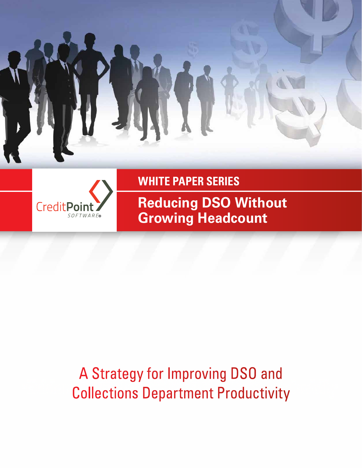



**WHITE PAPER SERIES**

**Reducing DSO Without Growing Headcount**

# A Strategy for Improving DSO and Collections Department Productivity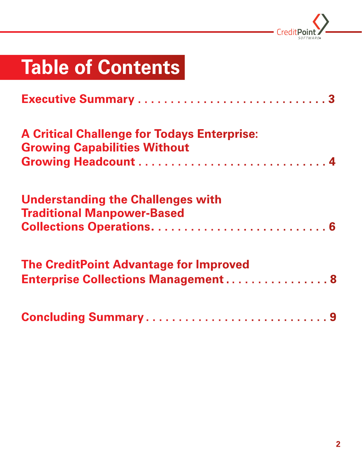

# **Table of Contents**

| <b>A Critical Challenge for Todays Enterprise:</b><br><b>Growing Capabilities Without</b>   |
|---------------------------------------------------------------------------------------------|
| <b>Understanding the Challenges with</b><br><b>Traditional Manpower-Based</b>               |
| <b>The CreditPoint Advantage for Improved</b><br><b>Enterprise Collections Management 8</b> |
| <b>Concluding Summary9</b>                                                                  |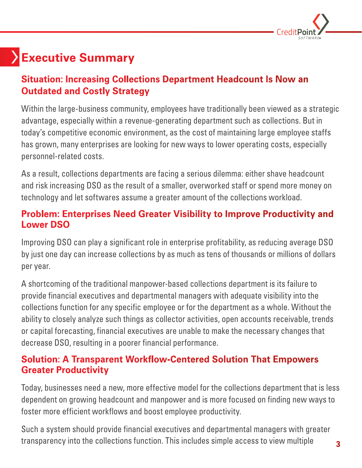

# **Executive Summary**

#### **Situation: Increasing Collections Department Headcount Is Now an Outdated and Costly Strategy**

Within the large-business community, employees have traditionally been viewed as a strategic advantage, especially within a revenue-generating department such as collections. But in today's competitive economic environment, as the cost of maintaining large employee staffs has grown, many enterprises are looking for new ways to lower operating costs, especially personnel-related costs.

As a result, collections departments are facing a serious dilemma: either shave headcount and risk increasing DSO as the result of a smaller, overworked staff or spend more money on technology and let softwares assume a greater amount of the collections workload.

#### **Problem: Enterprises Need Greater Visibility to Improve Productivity and Lower DSO**

Improving DSO can play a significant role in enterprise profitability, as reducing average DSO by just one day can increase collections by as much as tens of thousands or millions of dollars per year.

A shortcoming of the traditional manpower-based collections department is its failure to provide financial executives and departmental managers with adequate visibility into the collections function for any specific employee or for the department as a whole. Without the ability to closely analyze such things as collector activities, open accounts receivable, trends or capital forecasting, financial executives are unable to make the necessary changes that decrease DSO, resulting in a poorer financial performance.

#### **Solution: A Transparent Workflow-Centered Solution That Empowers Greater Productivity**

Today, businesses need a new, more effective model for the collections department that is less dependent on growing headcount and manpower and is more focused on finding new ways to foster more efficient workflows and boost employee productivity.

Such a system should provide financial executives and departmental managers with greater transparency into the collections function. This includes simple access to view multiple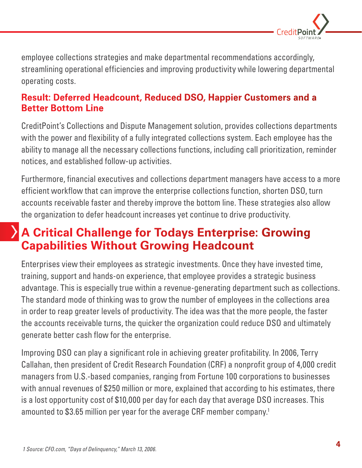

employee collections strategies and make departmental recommendations accordingly, streamlining operational efficiencies and improving productivity while lowering departmental operating costs.

#### **Result: Deferred Headcount, Reduced DSO, Happier Customers and a Better Bottom Line**

CreditPoint's Collections and Dispute Management solution, provides collections departments with the power and flexibility of a fully integrated collections system. Each employee has the ability to manage all the necessary collections functions, including call prioritization, reminder notices, and established follow-up activities.

Furthermore, financial executives and collections department managers have access to a more efficient workflow that can improve the enterprise collections function, shorten DSO, turn accounts receivable faster and thereby improve the bottom line. These strategies also allow the organization to defer headcount increases yet continue to drive productivity.

### **A Critical Challenge for Todays Enterprise: Growing Capabilities Without Growing Headcount**

Enterprises view their employees as strategic investments. Once they have invested time, training, support and hands-on experience, that employee provides a strategic business advantage. This is especially true within a revenue-generating department such as collections. The standard mode of thinking was to grow the number of employees in the collections area in order to reap greater levels of productivity. The idea was that the more people, the faster the accounts receivable turns, the quicker the organization could reduce DSO and ultimately generate better cash flow for the enterprise.

Improving DSO can play a significant role in achieving greater profitability. In 2006, Terry Callahan, then president of Credit Research Foundation (CRF) a nonprofit group of 4,000 credit managers from U.S.-based companies, ranging from Fortune 100 corporations to businesses with annual revenues of \$250 million or more, explained that according to his estimates, there is a lost opportunity cost of \$10,000 per day for each day that average DSO increases. This amounted to \$3.65 million per year for the average CRF member company.<sup>1</sup>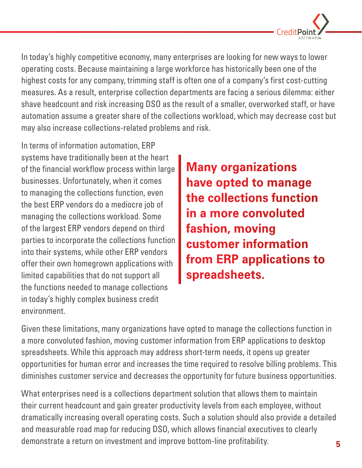

In today's highly competitive economy, many enterprises are looking for new ways to lower operating costs. Because maintaining a large workforce has historically been one of the highest costs for any company, trimming staff is often one of a company's first cost-cutting measures. As a result, enterprise collection departments are facing a serious dilemma: either shave headcount and risk increasing DSO as the result of a smaller, overworked staff, or have automation assume a greater share of the collections workload, which may decrease cost but may also increase collections-related problems and risk.

In terms of information automation, ERP systems have traditionally been at the heart of the financial workflow process within large businesses. Unfortunately, when it comes to managing the collections function, even the best ERP vendors do a mediocre job of managing the collections workload. Some of the largest ERP vendors depend on third parties to incorporate the collections function into their systems, while other ERP vendors offer their own homegrown applications with limited capabilities that do not support all the functions needed to manage collections in today's highly complex business credit environment.

**Many organizations have opted to manage the collections function in a more convoluted fashion, moving customer information from ERP applications to spreadsheets.** 

Given these limitations, many organizations have opted to manage the collections function in a more convoluted fashion, moving customer information from ERP applications to desktop spreadsheets. While this approach may address short-term needs, it opens up greater opportunities for human error and increases the time required to resolve billing problems. This diminishes customer service and decreases the opportunity for future business opportunities.

What enterprises need is a collections department solution that allows them to maintain their current headcount and gain greater productivity levels from each employee, without dramatically increasing overall operating costs. Such a solution should also provide a detailed and measurable road map for reducing DSO, which allows financial executives to clearly demonstrate a return on investment and improve bottom-line profitability.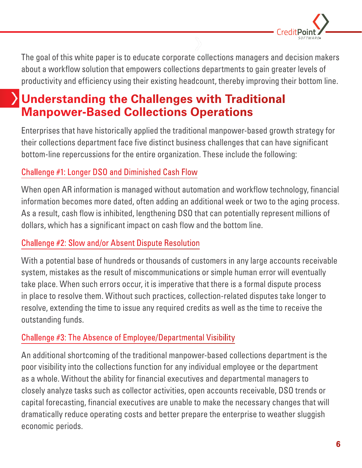

The goal of this white paper is to educate corporate collections managers and decision makers about a workflow solution that empowers collections departments to gain greater levels of productivity and efficiency using their existing headcount, thereby improving their bottom line.

### **Understanding the Challenges with Traditional Manpower-Based Collections Operations**

Enterprises that have historically applied the traditional manpower-based growth strategy for their collections department face five distinct business challenges that can have significant bottom-line repercussions for the entire organization. These include the following:

#### Challenge #1: Longer DSO and Diminished Cash Flow

When open AR information is managed without automation and workflow technology, financial information becomes more dated, often adding an additional week or two to the aging process. As a result, cash flow is inhibited, lengthening DSO that can potentially represent millions of dollars, which has a significant impact on cash flow and the bottom line.

#### Challenge #2: Slow and/or Absent Dispute Resolution

With a potential base of hundreds or thousands of customers in any large accounts receivable system, mistakes as the result of miscommunications or simple human error will eventually take place. When such errors occur, it is imperative that there is a formal dispute process in place to resolve them. Without such practices, collection-related disputes take longer to resolve, extending the time to issue any required credits as well as the time to receive the outstanding funds.

#### Challenge #3: The Absence of Employee/Departmental Visibility

An additional shortcoming of the traditional manpower-based collections department is the poor visibility into the collections function for any individual employee or the department as a whole. Without the ability for financial executives and departmental managers to closely analyze tasks such as collector activities, open accounts receivable, DSO trends or capital forecasting, financial executives are unable to make the necessary changes that will dramatically reduce operating costs and better prepare the enterprise to weather sluggish economic periods.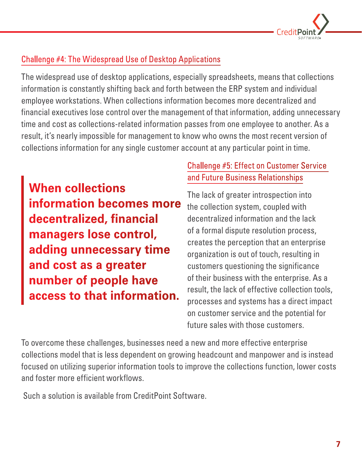

#### Challenge #4: The Widespread Use of Desktop Applications

The widespread use of desktop applications, especially spreadsheets, means that collections information is constantly shifting back and forth between the ERP system and individual employee workstations. When collections information becomes more decentralized and financial executives lose control over the management of that information, adding unnecessary time and cost as collections-related information passes from one employee to another. As a result, it's nearly impossible for management to know who owns the most recent version of collections information for any single customer account at any particular point in time.

**When collections information becomes more decentralized, financial managers lose control, adding unnecessary time and cost as a greater number of people have access to that information.** 

#### Challenge #5: Effect on Customer Service and Future Business Relationships

The lack of greater introspection into the collection system, coupled with decentralized information and the lack of a formal dispute resolution process, creates the perception that an enterprise organization is out of touch, resulting in customers questioning the significance of their business with the enterprise. As a result, the lack of effective collection tools, processes and systems has a direct impact on customer service and the potential for future sales with those customers.

To overcome these challenges, businesses need a new and more effective enterprise collections model that is less dependent on growing headcount and manpower and is instead focused on utilizing superior information tools to improve the collections function, lower costs and foster more efficient workflows.

Such a solution is available from CreditPoint Software.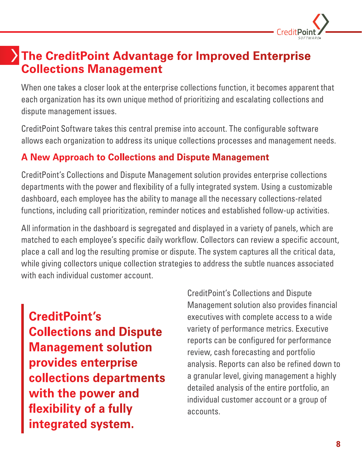

### **The CreditPoint Advantage for Improved Enterprise Collections Management**

When one takes a closer look at the enterprise collections function, it becomes apparent that each organization has its own unique method of prioritizing and escalating collections and dispute management issues.

CreditPoint Software takes this central premise into account. The configurable software allows each organization to address its unique collections processes and management needs.

#### **A New Approach to Collections and Dispute Management**

CreditPoint's Collections and Dispute Management solution provides enterprise collections departments with the power and flexibility of a fully integrated system. Using a customizable dashboard, each employee has the ability to manage all the necessary collections-related functions, including call prioritization, reminder notices and established follow-up activities.

All information in the dashboard is segregated and displayed in a variety of panels, which are matched to each employee's specific daily workflow. Collectors can review a specific account, place a call and log the resulting promise or dispute. The system captures all the critical data, while giving collectors unique collection strategies to address the subtle nuances associated with each individual customer account.

**CreditPoint's Collections and Dispute Management solution provides enterprise collections departments with the power and flexibility of a fully integrated system.**

CreditPoint's Collections and Dispute Management solution also provides financial executives with complete access to a wide variety of performance metrics. Executive reports can be configured for performance review, cash forecasting and portfolio analysis. Reports can also be refined down to a granular level, giving management a highly detailed analysis of the entire portfolio, an individual customer account or a group of accounts.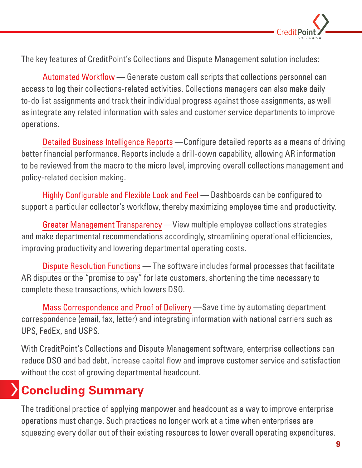

The key features of CreditPoint's Collections and Dispute Management solution includes:

Automated Workflow — Generate custom call scripts that collections personnel can access to log their collections-related activities. Collections managers can also make daily to-do list assignments and track their individual progress against those assignments, as well as integrate any related information with sales and customer service departments to improve operations.

Detailed Business Intelligence Reports —Configure detailed reports as a means of driving better financial performance. Reports include a drill-down capability, allowing AR information to be reviewed from the macro to the micro level, improving overall collections management and policy-related decision making.

Highly Configurable and Flexible Look and Feel — Dashboards can be configured to support a particular collector's workflow, thereby maximizing employee time and productivity.

Greater Management Transparency —View multiple employee collections strategies and make departmental recommendations accordingly, streamlining operational efficiencies, improving productivity and lowering departmental operating costs.

Dispute Resolution Functions — The software includes formal processes that facilitate AR disputes or the "promise to pay" for late customers, shortening the time necessary to complete these transactions, which lowers DSO.

Mass Correspondence and Proof of Delivery —Save time by automating department correspondence (email, fax, letter) and integrating information with national carriers such as UPS, FedEx, and USPS.

With CreditPoint's Collections and Dispute Management software, enterprise collections can reduce DSO and bad debt, increase capital flow and improve customer service and satisfaction without the cost of growing departmental headcount.

# **Concluding Summary**

The traditional practice of applying manpower and headcount as a way to improve enterprise operations must change. Such practices no longer work at a time when enterprises are squeezing every dollar out of their existing resources to lower overall operating expenditures.